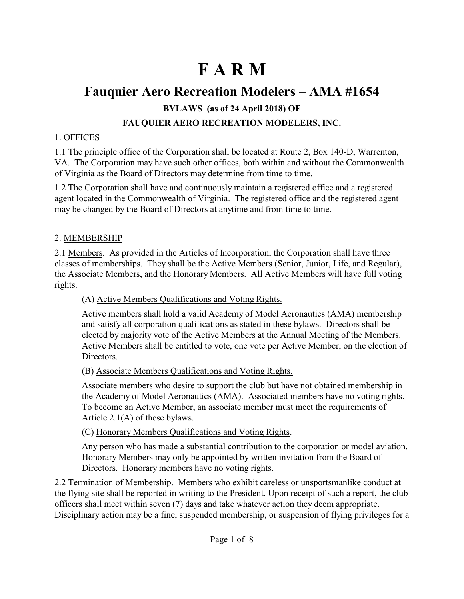# **F A R M**

# **Fauquier Aero Recreation Modelers – AMA #1654 BYLAWS (as of 24 April 2018) OF FAUQUIER AERO RECREATION MODELERS, INC.**

#### 1. OFFICES

1.1 The principle office of the Corporation shall be located at Route 2, Box 140-D, Warrenton, VA. The Corporation may have such other offices, both within and without the Commonwealth of Virginia as the Board of Directors may determine from time to time.

1.2 The Corporation shall have and continuously maintain a registered office and a registered agent located in the Commonwealth of Virginia. The registered office and the registered agent may be changed by the Board of Directors at anytime and from time to time.

#### 2. MEMBERSHIP

2.1 Members. As provided in the Articles of Incorporation, the Corporation shall have three classes of memberships. They shall be the Active Members (Senior, Junior, Life, and Regular), the Associate Members, and the Honorary Members. All Active Members will have full voting rights.

#### (A) Active Members Qualifications and Voting Rights.

Active members shall hold a valid Academy of Model Aeronautics (AMA) membership and satisfy all corporation qualifications as stated in these bylaws. Directors shall be elected by majority vote of the Active Members at the Annual Meeting of the Members. Active Members shall be entitled to vote, one vote per Active Member, on the election of Directors.

#### (B) Associate Members Qualifications and Voting Rights.

Associate members who desire to support the club but have not obtained membership in the Academy of Model Aeronautics (AMA). Associated members have no voting rights. To become an Active Member, an associate member must meet the requirements of Article 2.1(A) of these bylaws.

#### (C) Honorary Members Qualifications and Voting Rights.

Any person who has made a substantial contribution to the corporation or model aviation. Honorary Members may only be appointed by written invitation from the Board of Directors. Honorary members have no voting rights.

2.2 Termination of Membership. Members who exhibit careless or unsportsmanlike conduct at the flying site shall be reported in writing to the President. Upon receipt of such a report, the club officers shall meet within seven (7) days and take whatever action they deem appropriate. Disciplinary action may be a fine, suspended membership, or suspension of flying privileges for a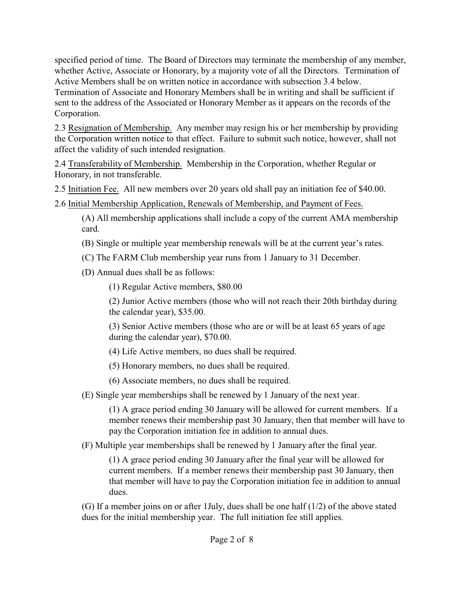specified period of time. The Board of Directors may terminate the membership of any member, whether Active, Associate or Honorary, by a majority vote of all the Directors. Termination of Active Members shall be on written notice in accordance with subsection 3.4 below. Termination of Associate and Honorary Members shall be in writing and shall be sufficient if sent to the address of the Associated or Honorary Member as it appears on the records of the Corporation.

2.3 Resignation of Membership. Any member may resign his or her membership by providing the Corporation written notice to that effect. Failure to submit such notice, however, shall not affect the validity of such intended resignation.

2.4 Transferability of Membership. Membership in the Corporation, whether Regular or Honorary, in not transferable.

2.5 Initiation Fee. All new members over 20 years old shall pay an initiation fee of \$40.00.

2.6 Initial Membership Application, Renewals of Membership, and Payment of Fees.

(A) All membership applications shall include a copy of the current AMA membership card.

(B) Single or multiple year membership renewals will be at the current year's rates.

(C) The FARM Club membership year runs from 1 January to 31 December.

(D) Annual dues shall be as follows:

(1) Regular Active members, \$80.00

(2) Junior Active members (those who will not reach their 20th birthday during the calendar year), \$35.00.

(3) Senior Active members (those who are or will be at least 65 years of age during the calendar year), \$70.00.

(4) Life Active members, no dues shall be required.

(5) Honorary members, no dues shall be required.

(6) Associate members, no dues shall be required.

(E) Single year memberships shall be renewed by 1 January of the next year.

(1) A grace period ending 30 January will be allowed for current members. If a member renews their membership past 30 January, then that member will have to pay the Corporation initiation fee in addition to annual dues.

(F) Multiple year memberships shall be renewed by 1 January after the final year.

(1) A grace period ending 30 January after the final year will be allowed for current members. If a member renews their membership past 30 January, then that member will have to pay the Corporation initiation fee in addition to annual dues.

(G) If a member joins on or after 1July, dues shall be one half (1/2) of the above stated dues for the initial membership year. The full initiation fee still applies.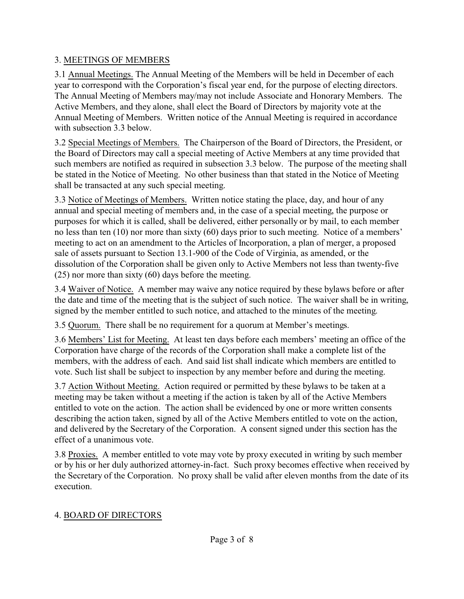#### 3. MEETINGS OF MEMBERS

3.1 Annual Meetings. The Annual Meeting of the Members will be held in December of each year to correspond with the Corporation's fiscal year end, for the purpose of electing directors. The Annual Meeting of Members may/may not include Associate and Honorary Members. The Active Members, and they alone, shall elect the Board of Directors by majority vote at the Annual Meeting of Members. Written notice of the Annual Meeting is required in accordance with subsection 3.3 below.

3.2 Special Meetings of Members. The Chairperson of the Board of Directors, the President, or the Board of Directors may call a special meeting of Active Members at any time provided that such members are notified as required in subsection 3.3 below. The purpose of the meeting shall be stated in the Notice of Meeting. No other business than that stated in the Notice of Meeting shall be transacted at any such special meeting.

3.3 Notice of Meetings of Members. Written notice stating the place, day, and hour of any annual and special meeting of members and, in the case of a special meeting, the purpose or purposes for which it is called, shall be delivered, either personally or by mail, to each member no less than ten (10) nor more than sixty (60) days prior to such meeting. Notice of a members' meeting to act on an amendment to the Articles of Incorporation, a plan of merger, a proposed sale of assets pursuant to Section 13.1-900 of the Code of Virginia, as amended, or the dissolution of the Corporation shall be given only to Active Members not less than twenty-five (25) nor more than sixty (60) days before the meeting.

3.4 Waiver of Notice. A member may waive any notice required by these bylaws before or after the date and time of the meeting that is the subject of such notice. The waiver shall be in writing, signed by the member entitled to such notice, and attached to the minutes of the meeting.

3.5 Quorum. There shall be no requirement for a quorum at Member's meetings.

3.6 Members' List for Meeting. At least ten days before each members' meeting an office of the Corporation have charge of the records of the Corporation shall make a complete list of the members, with the address of each. And said list shall indicate which members are entitled to vote. Such list shall be subject to inspection by any member before and during the meeting.

3.7 Action Without Meeting. Action required or permitted by these bylaws to be taken at a meeting may be taken without a meeting if the action is taken by all of the Active Members entitled to vote on the action. The action shall be evidenced by one or more written consents describing the action taken, signed by all of the Active Members entitled to vote on the action, and delivered by the Secretary of the Corporation. A consent signed under this section has the effect of a unanimous vote.

3.8 Proxies. A member entitled to vote may vote by proxy executed in writing by such member or by his or her duly authorized attorney-in-fact. Such proxy becomes effective when received by the Secretary of the Corporation. No proxy shall be valid after eleven months from the date of its execution.

## 4. BOARD OF DIRECTORS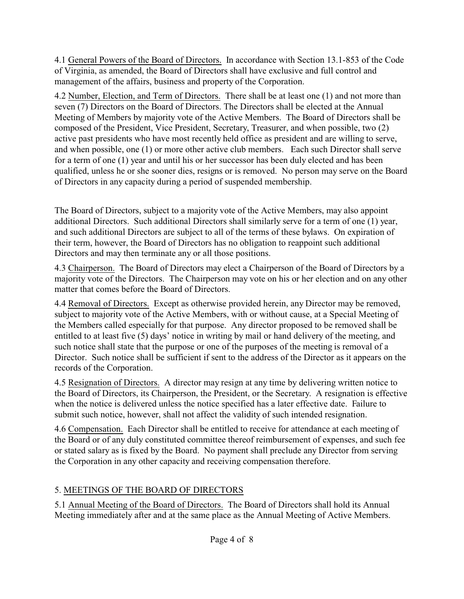4.1 General Powers of the Board of Directors. In accordance with Section 13.1-853 of the Code of Virginia, as amended, the Board of Directors shall have exclusive and full control and management of the affairs, business and property of the Corporation.

4.2 Number, Election, and Term of Directors. There shall be at least one (1) and not more than seven (7) Directors on the Board of Directors. The Directors shall be elected at the Annual Meeting of Members by majority vote of the Active Members. The Board of Directors shall be composed of the President, Vice President, Secretary, Treasurer, and when possible, two (2) active past presidents who have most recently held office as president and are willing to serve, and when possible, one (1) or more other active club members. Each such Director shall serve for a term of one (1) year and until his or her successor has been duly elected and has been qualified, unless he or she sooner dies, resigns or is removed. No person may serve on the Board of Directors in any capacity during a period of suspended membership.

The Board of Directors, subject to a majority vote of the Active Members, may also appoint additional Directors. Such additional Directors shall similarly serve for a term of one (1) year, and such additional Directors are subject to all of the terms of these bylaws. On expiration of their term, however, the Board of Directors has no obligation to reappoint such additional Directors and may then terminate any or all those positions.

4.3 Chairperson. The Board of Directors may elect a Chairperson of the Board of Directors by a majority vote of the Directors. The Chairperson may vote on his or her election and on any other matter that comes before the Board of Directors.

4.4 Removal of Directors. Except as otherwise provided herein, any Director may be removed, subject to majority vote of the Active Members, with or without cause, at a Special Meeting of the Members called especially for that purpose. Any director proposed to be removed shall be entitled to at least five (5) days' notice in writing by mail or hand delivery of the meeting, and such notice shall state that the purpose or one of the purposes of the meeting is removal of a Director. Such notice shall be sufficient if sent to the address of the Director as it appears on the records of the Corporation.

4.5 Resignation of Directors. A director may resign at any time by delivering written notice to the Board of Directors, its Chairperson, the President, or the Secretary. A resignation is effective when the notice is delivered unless the notice specified has a later effective date. Failure to submit such notice, however, shall not affect the validity of such intended resignation.

4.6 Compensation. Each Director shall be entitled to receive for attendance at each meeting of the Board or of any duly constituted committee thereof reimbursement of expenses, and such fee or stated salary as is fixed by the Board. No payment shall preclude any Director from serving the Corporation in any other capacity and receiving compensation therefore.

## 5. MEETINGS OF THE BOARD OF DIRECTORS

5.1 Annual Meeting of the Board of Directors. The Board of Directors shall hold its Annual Meeting immediately after and at the same place as the Annual Meeting of Active Members.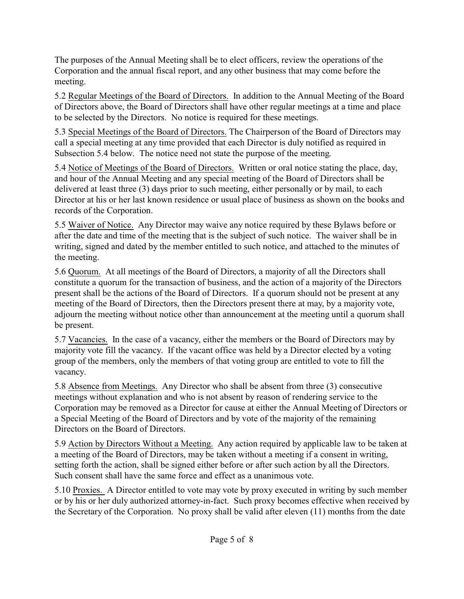The purposes of the Annual Meeting shall be to elect officers, review the operations of the Corporation and the annual fiscal report, and any other business that may come before the meeting.

5.2 Regular Meetings of the Board of Directors. In addition to the Annual Meeting of the Board of Directors above, the Board of Directors shall have other regular meetings at a time and place to be selected by the Directors. No notice is required for these meetings.

5.3 Special Meetings of the Board of Directors. The Chairperson of the Board of Directors may call a special meeting at any time provided that each Director is duly notified as required in Subsection 5.4 below. The notice need not state the purpose of the meeting.

5.4 Notice of Meetings of the Board of Directors. Written or oral notice stating the place, day, and hour of the Annual Meeting and any special meeting of the Board of Directors shall be delivered at least three (3) days prior to such meeting, either personally or by mail, to each Director at his or her last known residence or usual place of business as shown on the books and records of the Corporation.

5.5 Waiver of Notice. Any Director may waive any notice required by these Bylaws before or after the date and time of the meeting that is the subject of such notice. The waiver shall be in writing, signed and dated by the member entitled to such notice, and attached to the minutes of the meeting.

5.6 Quorum. At all meetings of the Board of Directors, a majority of all the Directors shall constitute a quorum for the transaction of business, and the action of a majority of the Directors present shall be the actions of the Board of Directors. If a quorum should not be present at any meeting of the Board of Directors, then the Directors present there at may, by a majority vote, adjourn the meeting without notice other than announcement at the meeting until a quorum shall be present.

5.7 Vacancies. In the case of a vacancy, either the members or the Board of Directors may by majority vote fill the vacancy. If the vacant office was held by a Director elected by a voting group of the members, only the members of that voting group are entitled to vote to fill the vacancy.

5.8 Absence from Meetings. Any Director who shall be absent from three (3) consecutive meetings without explanation and who is not absent by reason of rendering service to the Corporation may be removed as a Director for cause at either the Annual Meeting of Directors or a Special Meeting of the Board of Directors and by vote of the majority of the remaining Directors on the Board of Directors.

5.9 Action by Directors Without a Meeting. Any action required by applicable law to be taken at a meeting of the Board of Directors, may be taken without a meeting if a consent in writing, setting forth the action, shall be signed either before or after such action by all the Directors. Such consent shall have the same force and effect as a unanimous vote.

5.10 Proxies. A Director entitled to vote may vote by proxy executed in writing by such member or by his or her duly authorized attorney-in-fact. Such proxy becomes effective when received by the Secretary of the Corporation. No proxy shall be valid after eleven (11) months from the date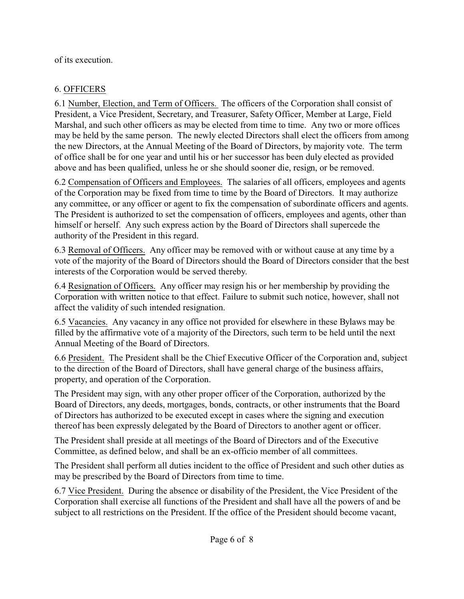of its execution.

## 6. OFFICERS

6.1 Number, Election, and Term of Officers. The officers of the Corporation shall consist of President, a Vice President, Secretary, and Treasurer, Safety Officer, Member at Large, Field Marshal, and such other officers as may be elected from time to time. Any two or more offices may be held by the same person. The newly elected Directors shall elect the officers from among the new Directors, at the Annual Meeting of the Board of Directors, by majority vote. The term of office shall be for one year and until his or her successor has been duly elected as provided above and has been qualified, unless he or she should sooner die, resign, or be removed.

6.2 Compensation of Officers and Employees. The salaries of all officers, employees and agents of the Corporation may be fixed from time to time by the Board of Directors. It may authorize any committee, or any officer or agent to fix the compensation of subordinate officers and agents. The President is authorized to set the compensation of officers, employees and agents, other than himself or herself. Any such express action by the Board of Directors shall supercede the authority of the President in this regard.

6.3 Removal of Officers. Any officer may be removed with or without cause at any time by a vote of the majority of the Board of Directors should the Board of Directors consider that the best interests of the Corporation would be served thereby.

6.4 Resignation of Officers. Any officer may resign his or her membership by providing the Corporation with written notice to that effect. Failure to submit such notice, however, shall not affect the validity of such intended resignation.

6.5 Vacancies. Any vacancy in any office not provided for elsewhere in these Bylaws may be filled by the affirmative vote of a majority of the Directors, such term to be held until the next Annual Meeting of the Board of Directors.

6.6 President. The President shall be the Chief Executive Officer of the Corporation and, subject to the direction of the Board of Directors, shall have general charge of the business affairs, property, and operation of the Corporation.

The President may sign, with any other proper officer of the Corporation, authorized by the Board of Directors, any deeds, mortgages, bonds, contracts, or other instruments that the Board of Directors has authorized to be executed except in cases where the signing and execution thereof has been expressly delegated by the Board of Directors to another agent or officer.

The President shall preside at all meetings of the Board of Directors and of the Executive Committee, as defined below, and shall be an ex-officio member of all committees.

The President shall perform all duties incident to the office of President and such other duties as may be prescribed by the Board of Directors from time to time.

6.7 Vice President. During the absence or disability of the President, the Vice President of the Corporation shall exercise all functions of the President and shall have all the powers of and be subject to all restrictions on the President. If the office of the President should become vacant,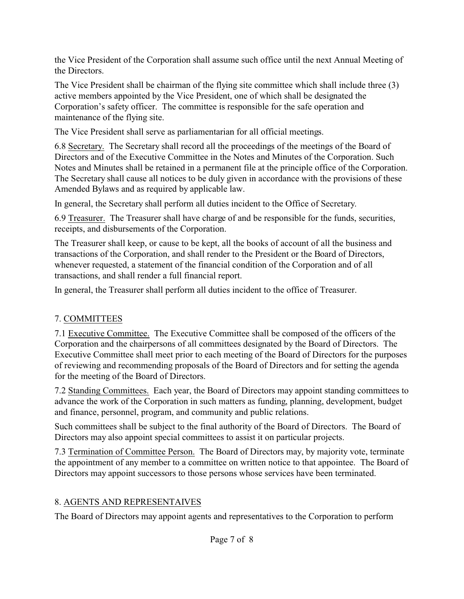the Vice President of the Corporation shall assume such office until the next Annual Meeting of the Directors.

The Vice President shall be chairman of the flying site committee which shall include three (3) active members appointed by the Vice President, one of which shall be designated the Corporation's safety officer. The committee is responsible for the safe operation and maintenance of the flying site.

The Vice President shall serve as parliamentarian for all official meetings.

6.8 Secretary. The Secretary shall record all the proceedings of the meetings of the Board of Directors and of the Executive Committee in the Notes and Minutes of the Corporation. Such Notes and Minutes shall be retained in a permanent file at the principle office of the Corporation. The Secretary shall cause all notices to be duly given in accordance with the provisions of these Amended Bylaws and as required by applicable law.

In general, the Secretary shall perform all duties incident to the Office of Secretary.

6.9 Treasurer. The Treasurer shall have charge of and be responsible for the funds, securities, receipts, and disbursements of the Corporation.

The Treasurer shall keep, or cause to be kept, all the books of account of all the business and transactions of the Corporation, and shall render to the President or the Board of Directors, whenever requested, a statement of the financial condition of the Corporation and of all transactions, and shall render a full financial report.

In general, the Treasurer shall perform all duties incident to the office of Treasurer.

# 7. COMMITTEES

7.1 Executive Committee. The Executive Committee shall be composed of the officers of the Corporation and the chairpersons of all committees designated by the Board of Directors. The Executive Committee shall meet prior to each meeting of the Board of Directors for the purposes of reviewing and recommending proposals of the Board of Directors and for setting the agenda for the meeting of the Board of Directors.

7.2 Standing Committees. Each year, the Board of Directors may appoint standing committees to advance the work of the Corporation in such matters as funding, planning, development, budget and finance, personnel, program, and community and public relations.

Such committees shall be subject to the final authority of the Board of Directors. The Board of Directors may also appoint special committees to assist it on particular projects.

7.3 Termination of Committee Person. The Board of Directors may, by majority vote, terminate the appointment of any member to a committee on written notice to that appointee. The Board of Directors may appoint successors to those persons whose services have been terminated.

# 8. AGENTS AND REPRESENTAIVES

The Board of Directors may appoint agents and representatives to the Corporation to perform